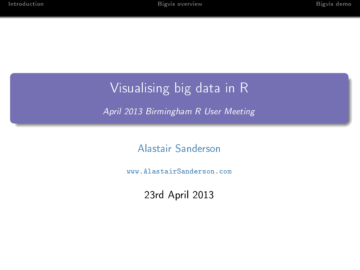# Visualising big data in R

April 2013 Birmingham R User Meeting

[Alastair Sanderson](mailto:ajrs@alastairsanderson.com)

<www.AlastairSanderson.com>

23rd April 2013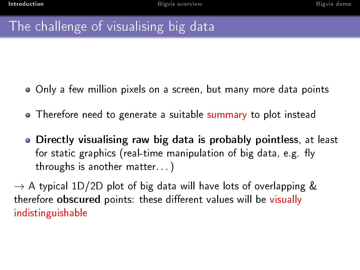# The challenge of visualising big data

- Only a few million pixels on a screen, but many more data points
- Therefore need to generate a suitable summary to plot instead
- Directly visualising raw big data is probably pointless, at least for static graphics (real-time manipulation of big data, e.g. fly throughs is another matter. . . )

<span id="page-1-0"></span> $\rightarrow$  A typical 1D/2D plot of big data will have lots of overlapping & therefore **obscured** points: these different values will be visually indistinguishable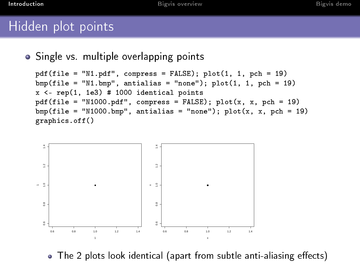## Hidden plot points

```
• Single vs. multiple overlapping points
```

```
pdf(file = "N1.pdf", compress = FALSE); plot(1, 1, pch = 19)bmp(file = "N1.bmp", antialias = "none"); plot(1, 1, pch = 19)x <- rep(1, 1e3) # 1000 identical points
pdf(file = "N1000.pdf", compress = FALSE); plot(x, x, pch = 19)bmp(file = "N1000.bmp", antialias = "none"); plot(x, x, pch = 19)graphics.off()
```


 $\bullet$  The 2 plots look identical (apart from subtle anti-aliasing effects)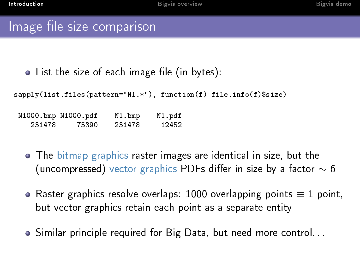## Image file size comparison

```
\bullet List the size of each image file (in bytes):
```
sapply(list.files(pattern="N1.\*"), function(f) file.info(f)\$size)

N1000.bmp N1000.pdf N1.bmp N1.pdf 75390

- The [bitmap graphics](http://en.wikipedia.org/wiki/Bitmap_graphics) raster images are identical in size, but the (uncompressed) [vector graphics](http://en.wikipedia.org/wiki/Vector_graphics) PDFs differ in size by a factor  $\sim$  6
- Raster graphics resolve overlaps: 1000 overlapping points  $\equiv 1$  point, but vector graphics retain each point as a separate entity
- Similar principle required for Big Data, but need more control. . .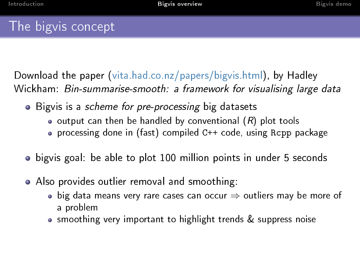## The bigvis concept

Download the paper [\(vita.had.co.nz/papers/bigvis.html\)](http://vita.had.co.nz/papers/bigvis.html), by Hadley Wickham: Bin-summarise-smooth: a framework for visualising large data

- Bigvis is a *scheme for pre-processing* big datasets
	- $\bullet$  output can then be handled by conventional  $(R)$  plot tools
	- processing done in (fast) compiled C++ code, using Rcpp package
- bigvis goal: be able to plot 100 million points in under 5 seconds
- <span id="page-4-0"></span>Also provides outlier removal and smoothing:
	- $\bullet$  big data means very rare cases can occur  $\Rightarrow$  outliers may be more of a problem
	- smoothing very important to highlight trends & suppress noise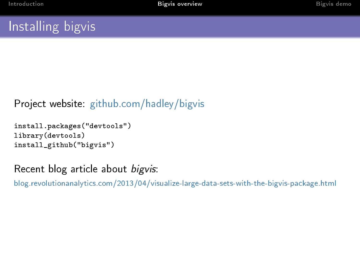## Installing bigvis

#### Project website: [github.com/hadley/bigvis](https://github.com/hadley/bigvis)

```
install.packages("devtools")
library(devtools)
install_github("bigvis")
```
#### Recent blog article about bigvis:

[blog.revolutionanalytics.com/2013/04/visualize-large-data-sets-with-the-bigvis-package.html](http://blog.revolutionanalytics.com/2013/04/visualize-large-data-sets-with-the-bigvis-package.html)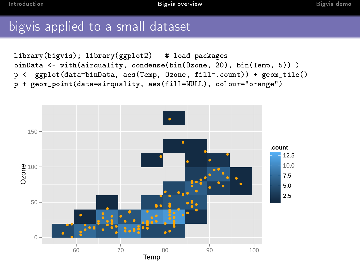## bigvis applied to a small dataset

library(bigvis); library(ggplot2) # load packages binData <- with(airquality, condense(bin(Ozone, 20), bin(Temp, 5)) ) p <- ggplot(data=binData, aes(Temp, Ozone, fill=.count)) + geom\_tile() p + geom\_point(data=airquality, aes(fill=NULL), colour="orange")

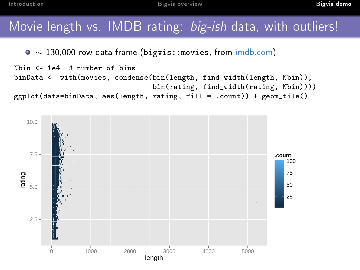[Introduction](#page-1-0) **[Bigvis demo](#page-7-0)nstration** [Bigvis overview](#page-4-0) **Bigvis demonstration** Bigvis demo

## Movie length vs. IMDB rating: big-ish data, with outliers!

∼ 130,000 row data frame (bigvis::movies, from [imdb.com\)](http://imdb.com/)

```
Nbin <- 1e4 # number of bins
binData <- with(movies, condense(bin(length, find_width(length, Nbin)),
                                 bin(rating, find_width(rating, Nbin))))
ggplot(data=binData, aes(length, rating, fill = .count)) + geom_tile()
```
<span id="page-7-0"></span>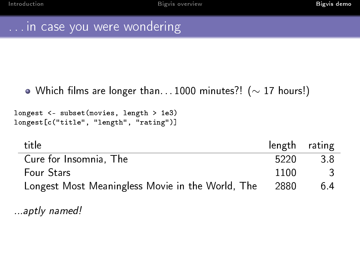## . . . in case you were wondering

#### $\bullet$  Which films are longer than... 1000 minutes?! ( $\sim$  17 hours!)

longest <- subset(movies, length > 1e3) longest[c("title", "length", "rating")]

| title                                            | length rating |     |
|--------------------------------------------------|---------------|-----|
| Cure for Insomnia, The                           | 5220          | 3 R |
| <b>Four Stars</b>                                | 1100          |     |
| Longest Most Meaningless Movie in the World, The | 2880          | 64  |

...aptly named!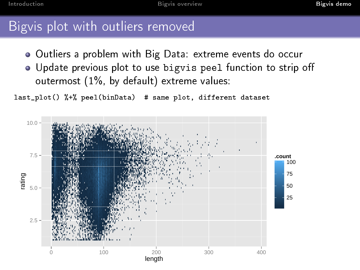## Bigvis plot with outliers removed

- Outliers a problem with Big Data: extreme events do occur
- Update previous plot to use bigvis peel function to strip o outermost (1%, by default) extreme values:

last\_plot() %+% peel(binData) # same plot, different dataset

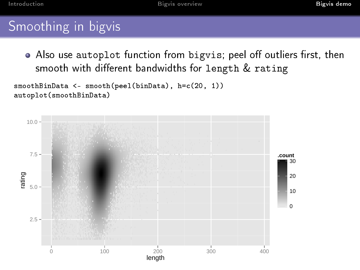[Introduction](#page-1-0) **[Bigvis demo](#page-7-0)nstration** [Bigvis overview](#page-4-0) **Bigvis demonstration** Bigvis demo

## Smoothing in bigvis

• Also use autoplot function from bigvis; peel off outliers first, then smooth with different bandwidths for length  $&$  rating

```
smoothBinData <- smooth(peel(binData), h=c(20, 1))
autoplot(smoothBinData)
```
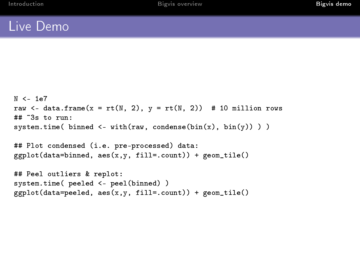#### Live Demo

```
N < -1e7raw \leq data.frame(x = rt(N, 2), y = rt(N, 2)) # 10 million rows
## ~3s to run:
system.time( binned \leq with(raw, condense(bin(x), bin(y)) ))
## Plot condensed (i.e. pre-processed) data:
ggplot(data=binned, aes(x, y, fill=count)) + geom.title()## Peel outliers & replot:
system.time( peeled <- peel(binned) )
ggplot(data=peeled, aes(x,y, fill=.count)) + geom.title()
```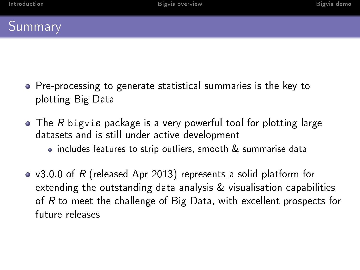

- Pre-processing to generate statistical summaries is the key to plotting Big Data
- The R bigvis package is a very powerful tool for plotting large datasets and is still under active development • includes features to strip outliers, smooth & summarise data
- v3.0.0 of R (released Apr 2013) represents a solid platform for extending the outstanding data analysis & visualisation capabilities of R to meet the challenge of Big Data, with excellent prospects for future releases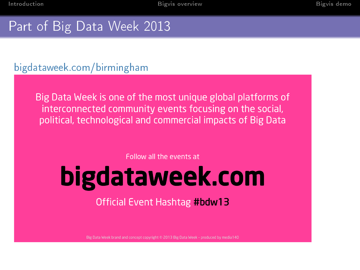# Part of Big Data Week 2013

#### [bigdataweek.com/birmingham](http://bigdataweek.com/birmingham/)

Big Data Week is one of the most unique global platforms of interconnected community events focusing on the social, political, technological and commercial impacts of Big Data

Follow all the events at

# bigdataweek.com

Official Event Hashtag #bdw13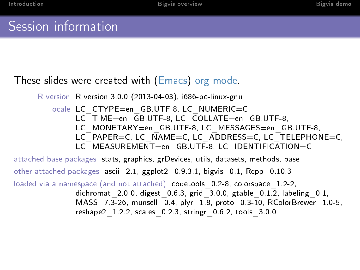## Session information

#### These slides were created with [\(Emacs\)](http://www.gnu.org/software/emacs/) [org mode.](http://orgmode.org/)

```
R version R version 3.0.0 (2013-04-03), i686-pc-linux-gnu
```
locale LC\_CTYPE=en\_GB.UTF-8, LC\_NUMERIC=C, LC TIME=en GB.UTF-8, LC COLLATE=en GB.UTF-8, LC\_MONETARY=en\_GB.UTF-8, LC\_MESSAGES=en\_GB.UTF-8, LC<sup>PAPER=C, LC NAME=C, LC ADDRESS=C, LC TELEPHONE=C,</sup> LC\_MEASUREMENT=en\_GB.UTF-8, LC\_IDENTIFICATION=C

attached base packages stats, graphics, grDevices, utils, datasets, methods, base other attached packages ascii\_2.1, ggplot2\_0.9.3.1, bigvis\_0.1, Rcpp\_0.10.3 loaded via a namespace (and not attached) codetools 0.2-8, colorspace 1.2-2, dichromat  $2.0-0$ , digest  $0.6.3$ , grid  $3.0.0$ , gtable  $0.1\overline{2}$ , labeling  $0.1$ , MASS 7.3-26, munsell 0.4, plyr 1.8, proto 0.3-10, RColorBrewer 1.0-5, reshape $2$  1.2.2, scales  $0.2.3$ , stringr $0.6.2$ , tools  $3.0.0$